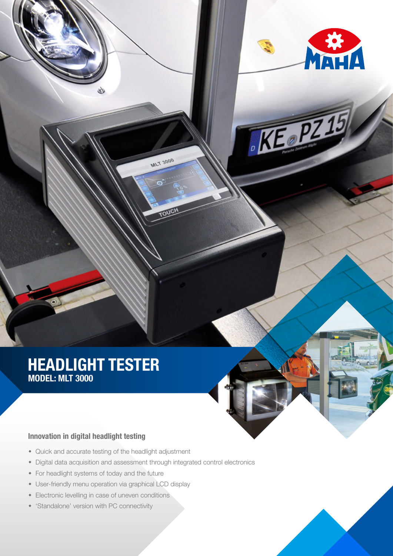

 $\mathcal{K}$ 

## HEADLIGHT TESTER MODEL: MLT 3000

### Innovation in digital headlight testing

- Quick and accurate testing of the headlight adjustment
- Digital data acquisition and assessment through integrated control electronics

**MLT 3000** 

 $\bullet$ 

- For headlight systems of today and the future
- User-friendly menu operation via graphical LCD display
- Electronic levelling in case of uneven conditions
- 'Standalone' version with PC connectivity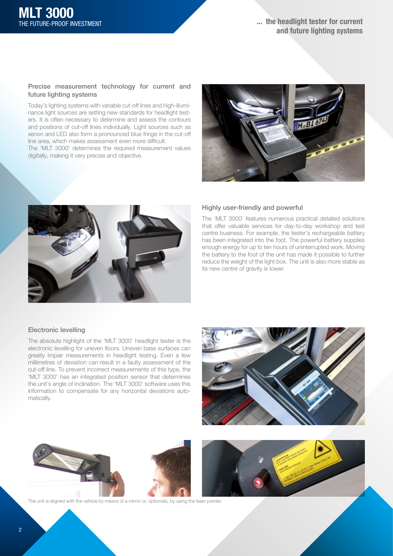#### Precise measurement technology for current and future lighting systems

Today's lighting systems with variable cut-off lines and high-illuminance light sources are setting new standards for headlight testers. It is often necessary to determine and assess the contours and positions of cut-off lines individually. Light sources such as xenon and LED also form a pronounced blue fringe in the cut-off line area, which makes assessment even more difficult.

The 'MLT 3000' determines the required measurement values digitally, making it very precise and objective.





#### Highly user-friendly and powerful

The 'MLT 3000' features numerous practical detailed solutions that offer valuable services for day-to-day workshop and test centre business. For example, the tester's rechargeable battery has been integrated into the foot. The powerful battery supplies enough energy for up to ten hours of uninterrupted work. Moving the battery to the foot of the unit has made it possible to further reduce the weight of the light box. The unit is also more stable as its new centre of gravity is lower.

#### Electronic levelling

The absolute highlight of the 'MLT 3000' headlight tester is the electronic levelling for uneven floors. Uneven base surfaces can greatly impair measurements in headlight testing. Even a few millimetres of deviation can result in a faulty assessment of the cut-off line. To prevent incorrect measurements of this type, the 'MLT 3000' has an integrated position sensor that determines the unit's angle of inclination. The 'MLT 3000' software uses this information to compensate for any horizontal deviations automatically.





The unit is aligned with the vehicle by means of a mirror or, optionally, by using the laser pointer.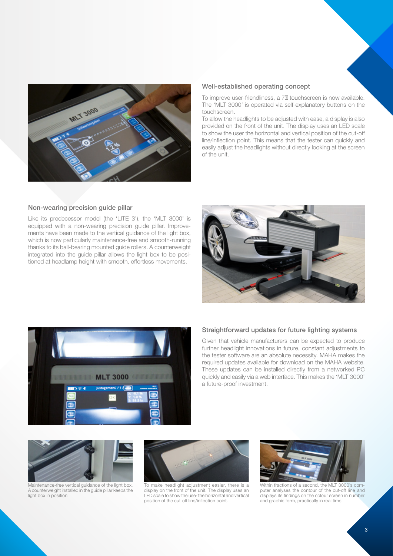

#### Well-established operating concept

To improve user-friendliness, a 7 touchscreen is now available. The 'MLT 3000' is operated via self-explanatory buttons on the touchscreen.

To allow the headlights to be adjusted with ease, a display is also provided on the front of the unit. The display uses an LED scale to show the user the horizontal and vertical position of the cut-off line/inflection point. This means that the tester can quickly and easily adjust the headlights without directly looking at the screen of the unit.

#### Non-wearing precision guide pillar

Like its predecessor model (the 'LITE 3'), the 'MLT 3000' is equipped with a non-wearing precision guide pillar. Improvements have been made to the vertical guidance of the light box, which is now particularly maintenance-free and smooth-running thanks to its ball-bearing mounted guide rollers. A counterweight integrated into the guide pillar allows the light box to be positioned at headlamp height with smooth, effortless movements.





#### Straightforward updates for future lighting systems

Given that vehicle manufacturers can be expected to produce further headlight innovations in future, constant adjustments to the tester software are an absolute necessity. MAHA makes the required updates available for download on the MAHA website. These updates can be installed directly from a networked PC quickly and easily via a web interface. This makes the 'MLT 3000' a future-proof investment.



Maintenance-free vertical guidance of the light box. A counterweight installed in the guide pillar keeps the light box in position.



To make headlight adjustment easier, there is a display on the front of the unit. The display uses an LED scale to show the user the horizontal and vertical position of the cut-off line/inflection point.



Within fractions of a second, the MLT 3000's computer analyses the contour of the cut-off line and displays its findings on the colour screen in number and graphic form, practically in real time.